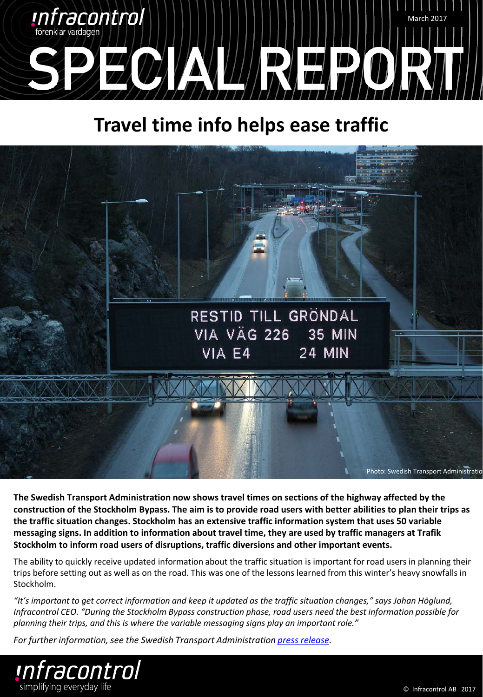

# **Travel time info helps ease traffic**



**The Swedish Transport Administration now shows travel times on sections of the highway affected by the construction of the Stockholm Bypass. The aim is to provide road users with better abilities to plan their trips as the traffic situation changes. Stockholm has an extensive traffic information system that uses 50 variable messaging signs. In addition to information about travel time, they are used by traffic managers at Trafik Stockholm to inform road users of disruptions, traffic diversions and other important events.** 

The ability to quickly receive updated information about the traffic situation is important for road users in planning their trips before setting out as well as on the road. This was one of the lessons learned from this winter's heavy snowfalls in Stockholm.

*"It's important to get correct information and keep it updated as the traffic situation changes," says Johan Höglund, Infracontrol CEO. "During the Stockholm Bypass construction phase, road users need the best information possible for planning their trips, and this is where the variable messaging signs play an important role."* 

*For further information, see the Swedish Transport Administration [press release](https://via.tt.se/pressmeddelande/skyltar-med-realtidsinformation-underlattar-for-bilister?publisherId=44450&releaseId=1128405).*